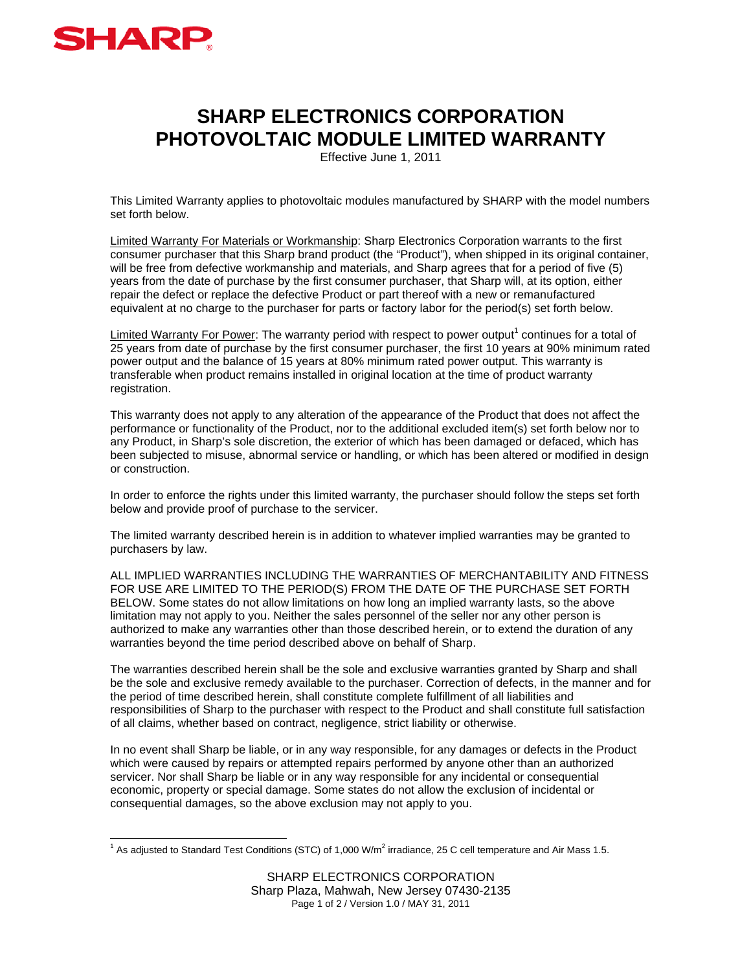

## **SHARP ELECTRONICS CORPORATION PHOTOVOLTAIC MODULE LIMITED WARRANTY**

Effective June 1, 2011

This Limited Warranty applies to photovoltaic modules manufactured by SHARP with the model numbers set forth below.

Limited Warranty For Materials or Workmanship: Sharp Electronics Corporation warrants to the first consumer purchaser that this Sharp brand product (the "Product"), when shipped in its original container, will be free from defective workmanship and materials, and Sharp agrees that for a period of five (5) years from the date of purchase by the first consumer purchaser, that Sharp will, at its option, either repair the defect or replace the defective Product or part thereof with a new or remanufactured equivalent at no charge to the purchaser for parts or factory labor for the period(s) set forth below.

Limited Warranty For Power: The warranty period with respect to power output<sup>1</sup> continues for a total of 25 years from date of purchase by the first consumer purchaser, the first 10 years at 90% minimum rated power output and the balance of 15 years at 80% minimum rated power output. This warranty is transferable when product remains installed in original location at the time of product warranty registration.

This warranty does not apply to any alteration of the appearance of the Product that does not affect the performance or functionality of the Product, nor to the additional excluded item(s) set forth below nor to any Product, in Sharp's sole discretion, the exterior of which has been damaged or defaced, which has been subjected to misuse, abnormal service or handling, or which has been altered or modified in design or construction.

In order to enforce the rights under this limited warranty, the purchaser should follow the steps set forth below and provide proof of purchase to the servicer.

The limited warranty described herein is in addition to whatever implied warranties may be granted to purchasers by law.

ALL IMPLIED WARRANTIES INCLUDING THE WARRANTIES OF MERCHANTABILITY AND FITNESS FOR USE ARE LIMITED TO THE PERIOD(S) FROM THE DATE OF THE PURCHASE SET FORTH BELOW. Some states do not allow limitations on how long an implied warranty lasts, so the above limitation may not apply to you. Neither the sales personnel of the seller nor any other person is authorized to make any warranties other than those described herein, or to extend the duration of any warranties beyond the time period described above on behalf of Sharp.

The warranties described herein shall be the sole and exclusive warranties granted by Sharp and shall be the sole and exclusive remedy available to the purchaser. Correction of defects, in the manner and for the period of time described herein, shall constitute complete fulfillment of all liabilities and responsibilities of Sharp to the purchaser with respect to the Product and shall constitute full satisfaction of all claims, whether based on contract, negligence, strict liability or otherwise.

In no event shall Sharp be liable, or in any way responsible, for any damages or defects in the Product which were caused by repairs or attempted repairs performed by anyone other than an authorized servicer. Nor shall Sharp be liable or in any way responsible for any incidental or consequential economic, property or special damage. Some states do not allow the exclusion of incidental or consequential damages, so the above exclusion may not apply to you.

 1 As adjusted to Standard Test Conditions (STC) of 1,000 W/m<sup>2</sup> irradiance, 25 C cell temperature and Air Mass 1.5.